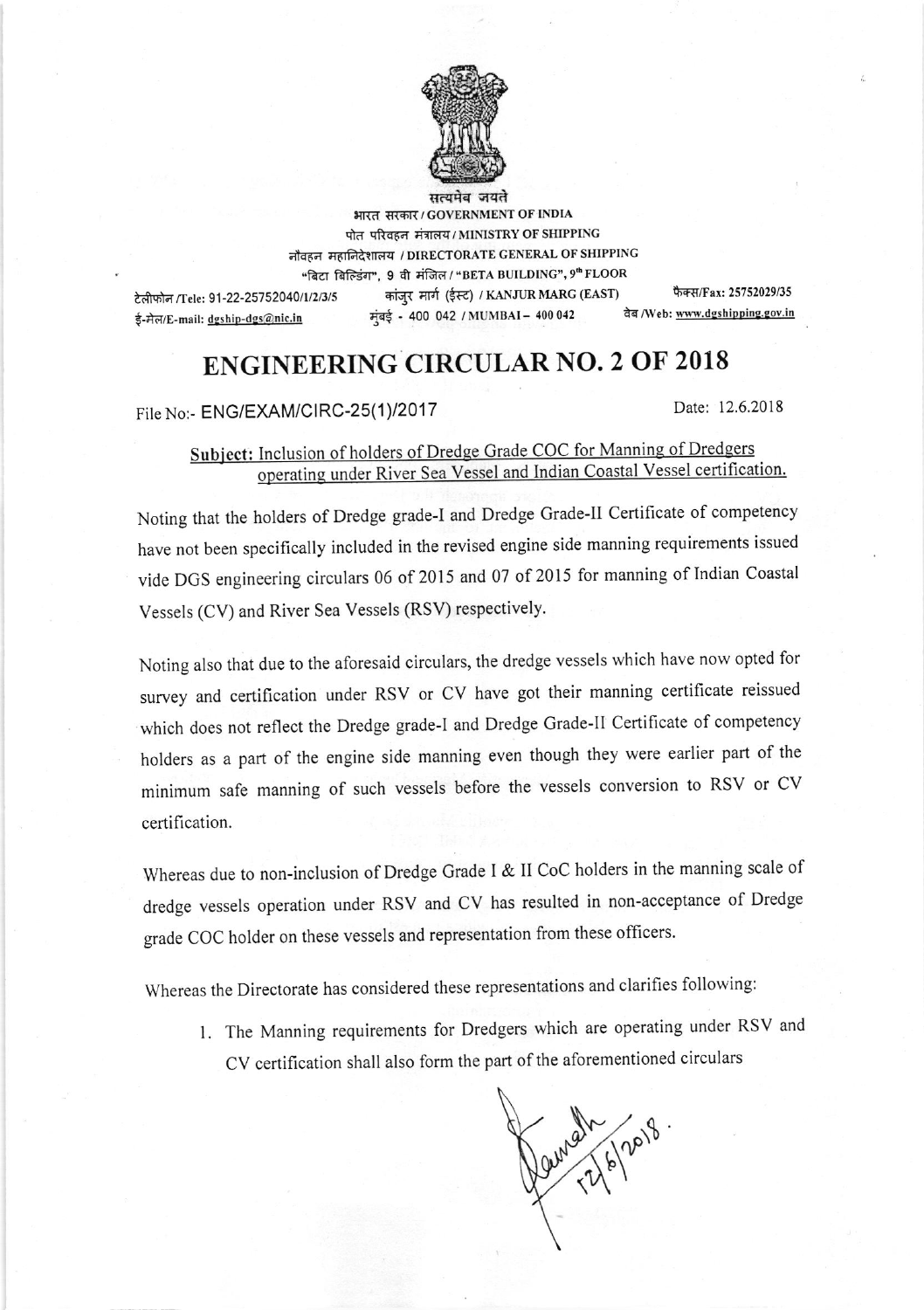

सत्यमेव जय<mark>ते</mark> भारत सरकार / GOVERNMENT OF INDIA पोत परिवहन मंत्रालय / MINISTRY OF SHIPPING नौवहन महानिदेशालय / DIRECTORATE GENERAL OF SHIPPING "बिटा बिल्डिंग", 9 वी मंजिल / "BETA BUILDING", 9" FLOOR टेलीफोन /Tele: 91-22-25752040/1/2/3/5 ई-मेल/E-mail: dgship-dgs@nic.in कांजुर मार्ग (ईस्ट) / KANJUR MARG (EAST) फैक्स/Fax: 25752029/35<br>ई - 400 042 / MUMBAI – 400 042 वेब /Web: <u>www.dgshipping.gov.in</u>  $\frac{1}{4}$  + 400 042 / MUMBAI - 400 042

## ENGINEERING CIRCULAR NO. 2 OF 2018

File No:- ENG/EXAM/CIRC-25(1)/2017 Date: 12.6.2018

## Subject: Inclusion of holders of Dredge Grade COC for Manning of Dredgers<br>operating under River Sea Vessel and Indian Coastal Vessel certification.

Noting that the holders of Dredge grade-I and Dredge Grade-II Certificate of competency have not been specifically included in the revised engine side manning requirements issued vide DGS engineering circulars 06 of 2015 and 07 of 2015 for manning of Indian Coastal Vessels (CV) and River Sea Vessels (RSV) respectively.

Noting also that due to the aforesaid circulars, the dredge vessels which have now opted for survey and certification under RSV or CV have got their manning certificate reissued which does not reflect the Dredge grade-l and Dredge Grade-ll Certificate of competency holders as a part of the engine side manning even though they were earlier part of the minimum safe manning of such vessels before the vessels conversion to RSV or CV certification.

Whereas due to non-inclusion of Dredge Grade I & II CoC holders in the manning scale of dredge vessels operation under RSV and CV has resulted in non-acceptance of Dredge grade COC holder on these vessels and representation from these officers.

Whereas the Directorate has considered these representations and clarifies following:

l. The Manning requirements for Dredgers which are operating under RSV and CV certification shall also form the part of the aforementioned circulars

Pain 21 6/2018